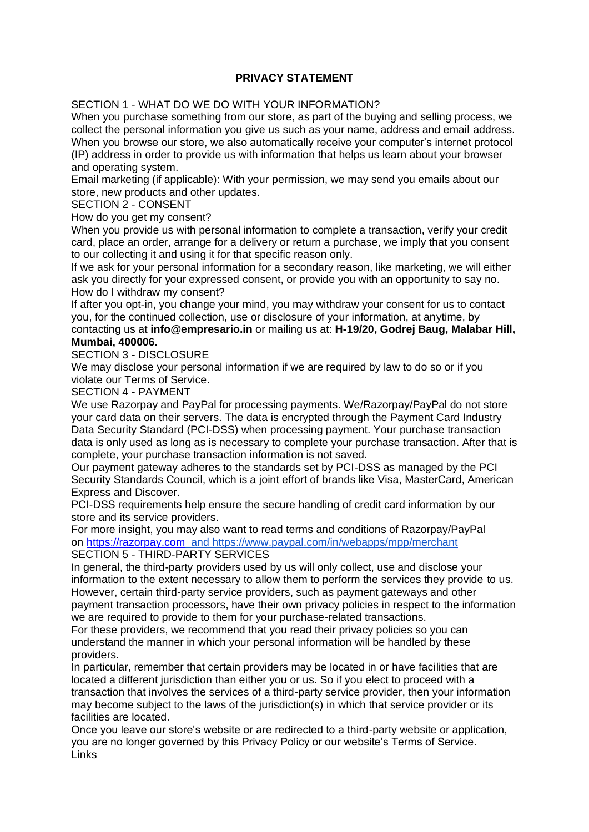## **PRIVACY STATEMENT**

SECTION 1 - WHAT DO WE DO WITH YOUR INFORMATION?

When you purchase something from our store, as part of the buying and selling process, we collect the personal information you give us such as your name, address and email address. When you browse our store, we also automatically receive your computer's internet protocol (IP) address in order to provide us with information that helps us learn about your browser and operating system.

Email marketing (if applicable): With your permission, we may send you emails about our store, new products and other updates.

SECTION 2 - CONSENT

How do you get my consent?

When you provide us with personal information to complete a transaction, verify your credit card, place an order, arrange for a delivery or return a purchase, we imply that you consent to our collecting it and using it for that specific reason only.

If we ask for your personal information for a secondary reason, like marketing, we will either ask you directly for your expressed consent, or provide you with an opportunity to say no. How do I withdraw my consent?

If after you opt-in, you change your mind, you may withdraw your consent for us to contact you, for the continued collection, use or disclosure of your information, at anytime, by

## contacting us at **info@empresario.in** or mailing us at: **H-19/20, Godrej Baug, Malabar Hill, Mumbai, 400006.**

SECTION 3 - DISCLOSURE

We may disclose your personal information if we are required by law to do so or if you violate our Terms of Service.

SECTION 4 - PAYMENT

We use Razorpay and PayPal for processing payments. We/Razorpay/PayPal do not store your card data on their servers. The data is encrypted through the Payment Card Industry Data Security Standard (PCI-DSS) when processing payment. Your purchase transaction data is only used as long as is necessary to complete your purchase transaction. After that is complete, your purchase transaction information is not saved.

Our payment gateway adheres to the standards set by PCI-DSS as managed by the PCI Security Standards Council, which is a joint effort of brands like Visa, MasterCard, American Express and Discover.

PCI-DSS requirements help ensure the secure handling of credit card information by our store and its service providers.

For more insight, you may also want to read terms and conditions of Razorpay/PayPal on [https://razorpay.com](https://www.google.com/url?q=https://razorpay.com&sa=D&ust=1606983914438000&usg=AOvVaw0yqt8EcAhCWbX1Gc7KHW3U) and https://www.paypal.com/in/webapps/mpp/merchant SECTION 5 - THIRD-PARTY SERVICES

In general, the third-party providers used by us will only collect, use and disclose your information to the extent necessary to allow them to perform the services they provide to us. However, certain third-party service providers, such as payment gateways and other payment transaction processors, have their own privacy policies in respect to the information we are required to provide to them for your purchase-related transactions.

For these providers, we recommend that you read their privacy policies so you can understand the manner in which your personal information will be handled by these providers.

In particular, remember that certain providers may be located in or have facilities that are located a different jurisdiction than either you or us. So if you elect to proceed with a transaction that involves the services of a third-party service provider, then your information may become subject to the laws of the jurisdiction(s) in which that service provider or its facilities are located.

Once you leave our store's website or are redirected to a third-party website or application, you are no longer governed by this Privacy Policy or our website's Terms of Service. Links